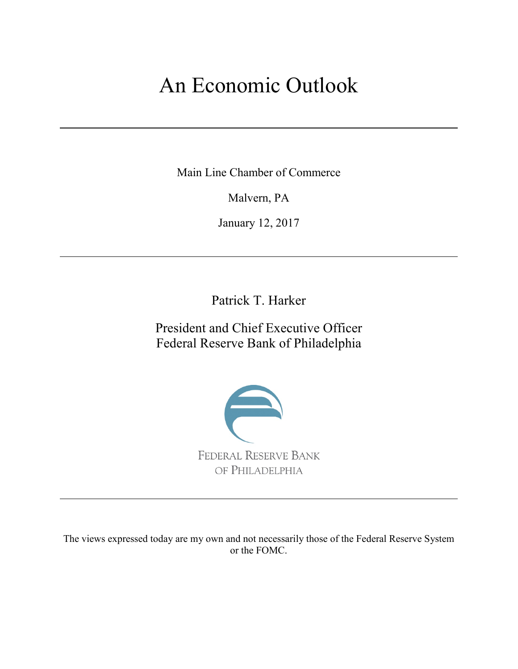# <span id="page-0-0"></span>An Economic Outlook

Main Line Chamber of Commerce

Malvern, PA

January 12, 2017

Patrick T. Harker

President and Chief Executive Officer Federal Reserve Bank of Philadelphia



The views expressed today are my own and not necessarily those of the Federal Reserve System or the FOMC.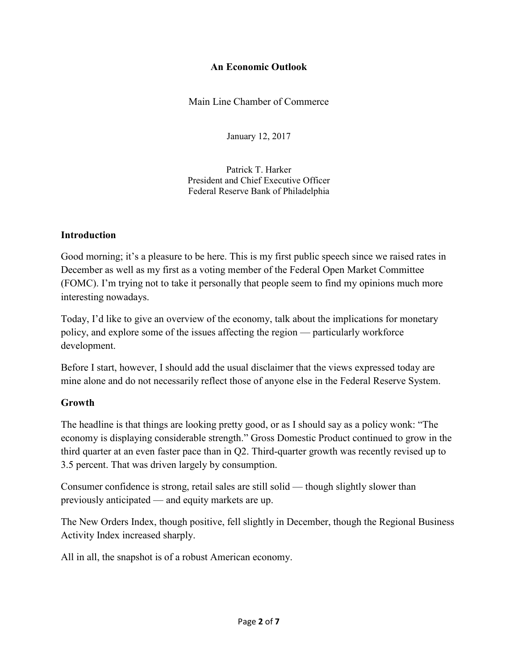#### **An Economic Outlook**

Main Line Chamber of Commerce

January 12, 2017

Patrick T. Harker President and Chief Executive Officer Federal Reserve Bank of Philadelphia

#### **Introduction**

Good morning; it's a pleasure to be here. This is my first public speech since we raised rates in December as well as my first as a voting member of the Federal Open Market Committee (FOMC). I'm trying not to take it personally that people seem to find my opinions much more interesting nowadays.

Today, I'd like to give an overview of the economy, talk about the implications for monetary policy, and explore some of the issues affecting the region — particularly workforce development.

Before I start, however, I should add the usual disclaimer that the views expressed today are mine alone and do not necessarily reflect those of anyone else in the Federal Reserve System.

#### **Growth**

The headline is that things are looking pretty good, or as I should say as a policy wonk: "The economy is displaying considerable strength." Gross Domestic Product continued to grow in the third quarter at an even faster pace than in Q2. Third-quarter growth was recently revised up to 3.5 percent. That was driven largely by consumption.

Consumer confidence is strong, retail sales are still solid — though slightly slower than previously anticipated — and equity markets are up.

The New Orders Index, though positive, fell slightly in December, though the Regional Business Activity Index increased sharply.

All in all, the snapshot is of a robust American economy.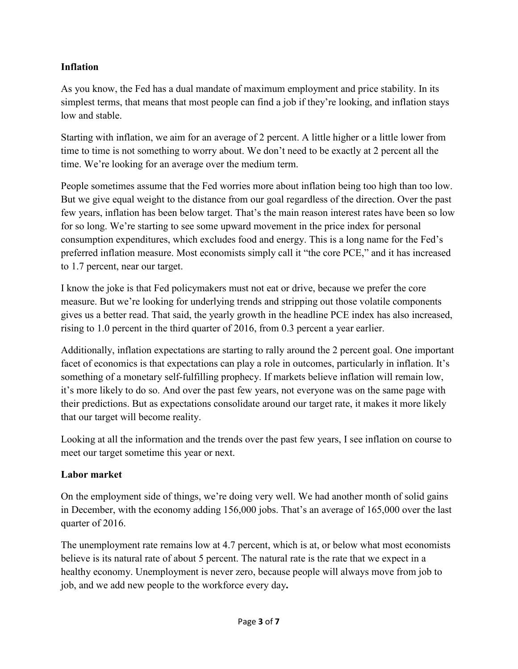## **Inflation**

As you know, the Fed has a dual mandate of maximum employment and price stability. In its simplest terms, that means that most people can find a job if they're looking, and inflation stays low and stable.

Starting with inflation, we aim for an average of 2 percent. A little higher or a little lower from time to time is not something to worry about. We don't need to be exactly at 2 percent all the time. We're looking for an average over the medium term.

People sometimes assume that the Fed worries more about inflation being too high than too low. But we give equal weight to the distance from our goal regardless of the direction. Over the past few years, inflation has been below target. That's the main reason interest rates have been so low for so long. We're starting to see some upward movement in the price index for personal consumption expenditures, which excludes food and energy. This is a long name for the Fed's preferred inflation measure. Most economists simply call it "the core PCE," and it has increased to 1.7 percent, near our target.

I know the joke is that Fed policymakers must not eat or drive, because we prefer the core measure. But we're looking for underlying trends and stripping out those volatile components gives us a better read. That said, the yearly growth in the headline PCE index has also increased, rising to 1.0 percent in the third quarter of 2016, from 0.3 percent a year earlier.

Additionally, inflation expectations are starting to rally around the 2 percent goal. One important facet of economics is that expectations can play a role in outcomes, particularly in inflation. It's something of a monetary self-fulfilling prophecy. If markets believe inflation will remain low, it's more likely to do so. And over the past few years, not everyone was on the same page with their predictions. But as expectations consolidate around our target rate, it makes it more likely that our target will become reality.

Looking at all the information and the trends over the past few years, I see inflation on course to meet our target sometime this year or next.

# **Labor market**

On the employment side of things, we're doing very well. We had another month of solid gains in December, with the economy adding 156,000 jobs. That's an average of 165,000 over the last quarter of 2016.

The unemployment rate remains low at 4.7 percent, which is at, or below what most economists believe is its natural rate of about 5 percent. The natural rate is the rate that we expect in a healthy economy. Unemployment is never zero, because people will always move from job to job, and we add new people to the workforce every day**.**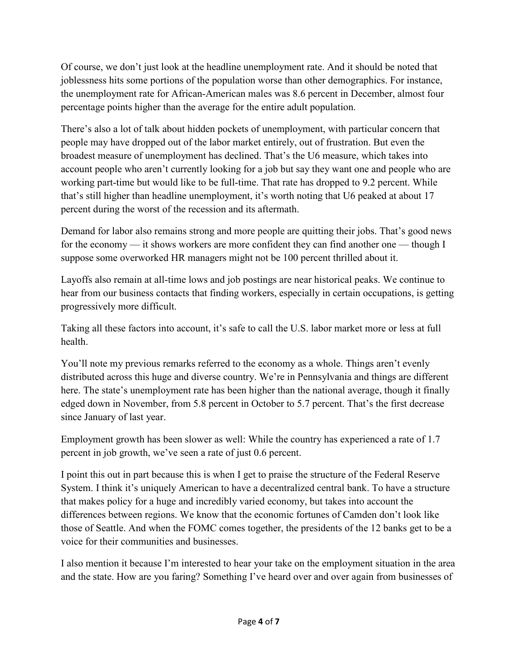Of course, we don't just look at the headline unemployment rate. And it should be noted that joblessness hits some portions of the population worse than other demographics. For instance, the unemployment rate for African-American males was 8.6 percent in December, almost four percentage points higher than the average for the entire adult population.

There's also a lot of talk about hidden pockets of unemployment, with particular concern that people may have dropped out of the labor market entirely, out of frustration. But even the broadest measure of unemployment has declined. That's the U6 measure, which takes into account people who aren't currently looking for a job but say they want one and people who are working part-time but would like to be full-time. That rate has dropped to 9.2 percent. While that's still higher than headline unemployment, it's worth noting that U6 peaked at about 17 percent during the worst of the recession and its aftermath.

Demand for labor also remains strong and more people are quitting their jobs. That's good news for the economy — it shows workers are more confident they can find another one — though I suppose some overworked HR managers might not be 100 percent thrilled about it.

Layoffs also remain at all-time lows and job postings are near historical peaks. We continue to hear from our business contacts that finding workers, especially in certain occupations, is getting progressively more difficult.

Taking all these factors into account, it's safe to call the U.S. labor market more or less at full health.

You'll note my previous remarks referred to the economy as a whole. Things aren't evenly distributed across this huge and diverse country. We're in Pennsylvania and things are different here. The state's unemployment rate has been higher than the national average, though it finally edged down in November, from 5.8 percent in October to 5.7 percent. That's the first decrease since January of last year.

Employment growth has been slower as well: While the country has experienced a rate of 1.7 percent in job growth, we've seen a rate of just 0.6 percent.

I point this out in part because this is when I get to praise the structure of the Federal Reserve System. I think it's uniquely American to have a decentralized central bank. To have a structure that makes policy for a huge and incredibly varied economy, but takes into account the differences between regions. We know that the economic fortunes of Camden don't look like those of Seattle. And when the FOMC comes together, the presidents of the 12 banks get to be a voice for their communities and businesses.

I also mention it because I'm interested to hear your take on the employment situation in the area and the state. How are you faring? Something I've heard over and over again from businesses of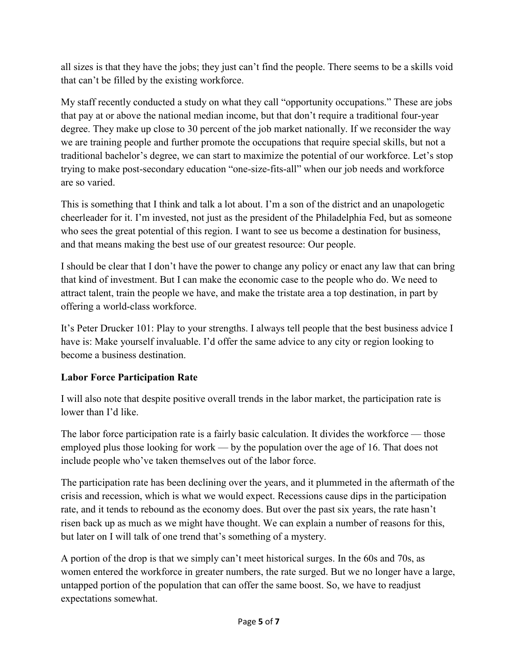all sizes is that they have the jobs; they just can't find the people. There seems to be a skills void that can't be filled by the existing workforce.

My staff recently conducted a study on what they call "opportunity occupations." These are jobs that pay at or above the national median income, but that don't require a traditional four-year degree. They make up close to 30 percent of the job market nationally. If we reconsider the way we are training people and further promote the occupations that require special skills, but not a traditional bachelor's degree, we can start to maximize the potential of our workforce. Let's stop trying to make post-secondary education "one-size-fits-all" when our job needs and workforce are so varied.

This is something that I think and talk a lot about. I'm a son of the district and an unapologetic cheerleader for it. I'm invested, not just as the president of the Philadelphia Fed, but as someone who sees the great potential of this region. I want to see us become a destination for business, and that means making the best use of our greatest resource: Our people.

I should be clear that I don't have the power to change any policy or enact any law that can bring that kind of investment. But I can make the economic case to the people who do. We need to attract talent, train the people we have, and make the tristate area a top destination, in part by offering a world-class workforce.

It's Peter Drucker 101: Play to your strengths. I always tell people that the best business advice I have is: Make yourself invaluable. I'd offer the same advice to any city or region looking to become a business destination.

# **Labor Force Participation Rate**

I will also note that despite positive overall trends in the labor market, the participation rate is lower than I'd like.

The labor force participation rate is a fairly basic calculation. It divides the workforce — those employed plus those looking for work — by the population over the age of 16. That does not include people who've taken themselves out of the labor force.

The participation rate has been declining over the years, and it plummeted in the aftermath of the crisis and recession, which is what we would expect. Recessions cause dips in the participation rate, and it tends to rebound as the economy does. But over the past six years, the rate hasn't risen back up as much as we might have thought. We can explain a number of reasons for this, but later on I will talk of one trend that's something of a mystery.

A portion of the drop is that we simply can't meet historical surges. In the 60s and 70s, as women entered the workforce in greater numbers, the rate surged. But we no longer have a large, untapped portion of the population that can offer the same boost. So, we have to readjust expectations somewhat.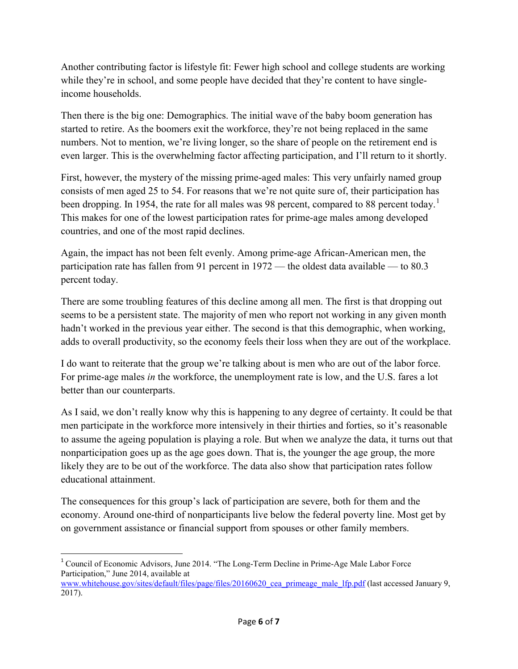Another contributing factor is lifestyle fit: Fewer high school and college students are working while they're in school, and some people have decided that they're content to have singleincome households.

Then there is the big one: Demographics. The initial wave of the baby boom generation has started to retire. As the boomers exit the workforce, they're not being replaced in the same numbers. Not to mention, we're living longer, so the share of people on the retirement end is even larger. This is the overwhelming factor affecting participation, and I'll return to it shortly.

First, however, the mystery of the missing prime-aged males: This very unfairly named group consists of men aged 25 to 54. For reasons that we're not quite sure of, their participation has been dropping. In [1](#page-5-0)954, the rate for all males was 98 percent, compared to 88 percent today.<sup>1</sup> This makes for one of the lowest participation rates for prime-age males among developed countries, and one of the most rapid declines.

Again, the impact has not been felt evenly. Among prime-age African-American men, the participation rate has fallen from 91 percent in 1972 — the oldest data available — to 80.3 percent today.

There are some troubling features of this decline among all men. The first is that dropping out seems to be a persistent state. The majority of men who report not working in any given month hadn't worked in the previous year either. The second is that this demographic, when working, adds to overall productivity, so the economy feels their loss when they are out of the workplace.

I do want to reiterate that the group we're talking about is men who are out of the labor force. For prime-age males *in* the workforce, the unemployment rate is low, and the U.S. fares a lot better than our counterparts.

As I said, we don't really know why this is happening to any degree of certainty. It could be that men participate in the workforce more intensively in their thirties and forties, so it's reasonable to assume the ageing population is playing a role. But when we analyze the data, it turns out that nonparticipation goes up as the age goes down. That is, the younger the age group, the more likely they are to be out of the workforce. The data also show that participation rates follow educational attainment.

The consequences for this group's lack of participation are severe, both for them and the economy. Around one-third of nonparticipants live below the federal poverty line. Most get by on government assistance or financial support from spouses or other family members.

<span id="page-5-0"></span> $\overline{\phantom{a}}$ <sup>1</sup> Council of Economic Advisors, June 2014. "The Long-Term Decline in Prime-Age Male Labor Force Participation," June 2014, available at

[www.whitehouse.gov/sites/default/files/page/files/20160620\\_cea\\_primeage\\_male\\_lfp.pdf](#page-0-0) (last accessed January 9, 2017).